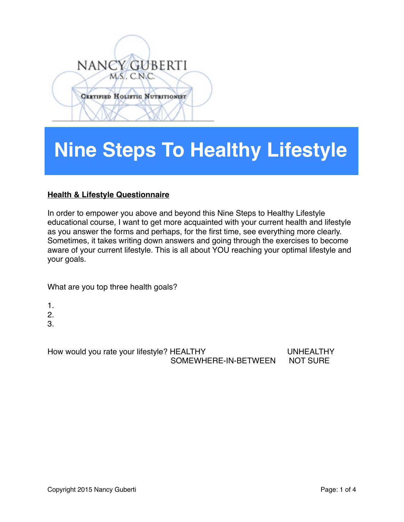## NANCY GUBERTI MS. C.N.C. **CERTIFIED HOLISTIC NUTRITIONIST**

## **Nine Steps To Healthy Lifestyle**

## **Health & Lifestyle Questionnaire**

In order to empower you above and beyond this Nine Steps to Healthy Lifestyle educational course, I want to get more acquainted with your current health and lifestyle as you answer the forms and perhaps, for the first time, see everything more clearly. Sometimes, it takes writing down answers and going through the exercises to become aware of your current lifestyle. This is all about YOU reaching your optimal lifestyle and your goals.

What are you top three health goals?

- 1.
- 2.
- 3.

How would you rate your lifestyle? HEALTHY UNHEALTHY SOMEWHERE-IN-BETWEEN NOT SURE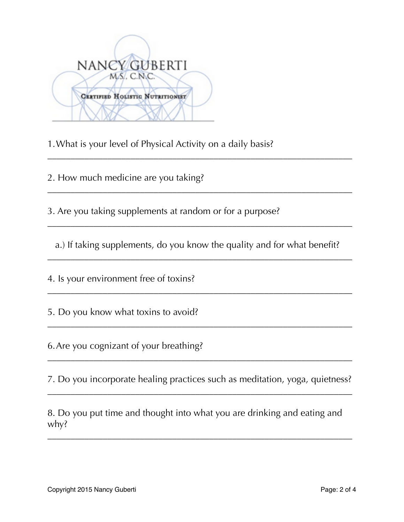| NANCY GUBERTI                          |
|----------------------------------------|
| MS. C.N.C.                             |
| <b>CERTIFIED HOLISTIC NUTRITIONIST</b> |
|                                        |

1.What is your level of Physical Activity on a daily basis?

2. How much medicine are you taking?

3. Are you taking supplements at random or for a purpose?

a.) If taking supplements, do you know the quality and for what benefit?

 $\overline{\phantom{a}}$  , and the contract of the contract of the contract of the contract of the contract of the contract of the contract of the contract of the contract of the contract of the contract of the contract of the contrac

 $\overline{\phantom{a}}$  , and the contract of the contract of the contract of the contract of the contract of the contract of the contract of the contract of the contract of the contract of the contract of the contract of the contrac

 $\overline{\phantom{a}}$  , and the contract of the contract of the contract of the contract of the contract of the contract of the contract of the contract of the contract of the contract of the contract of the contract of the contrac

 $\overline{\phantom{a}}$  , and the contract of the contract of the contract of the contract of the contract of the contract of the contract of the contract of the contract of the contract of the contract of the contract of the contrac

 $\overline{\phantom{a}}$  , and the contract of the contract of the contract of the contract of the contract of the contract of the contract of the contract of the contract of the contract of the contract of the contract of the contrac

 $\overline{\phantom{a}}$  , and the contract of the contract of the contract of the contract of the contract of the contract of the contract of the contract of the contract of the contract of the contract of the contract of the contrac

4. Is your environment free of toxins?

5. Do you know what toxins to avoid?

6.Are you cognizant of your breathing?

7. Do you incorporate healing practices such as meditation, yoga, quietness?  $\overline{\phantom{a}}$  , and the contract of the contract of the contract of the contract of the contract of the contract of the contract of the contract of the contract of the contract of the contract of the contract of the contrac

 $\overline{\phantom{a}}$  , and the contract of the contract of the contract of the contract of the contract of the contract of the contract of the contract of the contract of the contract of the contract of the contract of the contrac

8. Do you put time and thought into what you are drinking and eating and why?

\_\_\_\_\_\_\_\_\_\_\_\_\_\_\_\_\_\_\_\_\_\_\_\_\_\_\_\_\_\_\_\_\_\_\_\_\_\_\_\_\_\_\_\_\_\_\_\_\_\_\_\_\_\_\_\_\_\_\_\_\_\_\_\_\_\_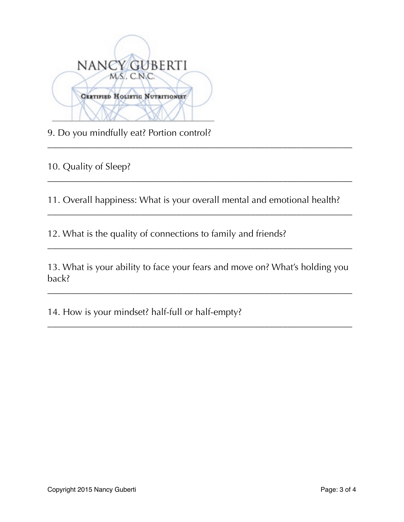| NANCY GUBERTI<br>MS. C.N.C.            |
|----------------------------------------|
| <b>CERTIFIED HOLISTIC NUTRITIONIST</b> |
|                                        |

9. Do you mindfully eat? Portion control?

10. Quality of Sleep?

11. Overall happiness: What is your overall mental and emotional health?

\_\_\_\_\_\_\_\_\_\_\_\_\_\_\_\_\_\_\_\_\_\_\_\_\_\_\_\_\_\_\_\_\_\_\_\_\_\_\_\_\_\_\_\_\_\_\_\_\_\_\_\_\_\_\_\_\_\_\_\_\_\_\_\_\_\_

\_\_\_\_\_\_\_\_\_\_\_\_\_\_\_\_\_\_\_\_\_\_\_\_\_\_\_\_\_\_\_\_\_\_\_\_\_\_\_\_\_\_\_\_\_\_\_\_\_\_\_\_\_\_\_\_\_\_\_\_\_\_\_\_\_\_

\_\_\_\_\_\_\_\_\_\_\_\_\_\_\_\_\_\_\_\_\_\_\_\_\_\_\_\_\_\_\_\_\_\_\_\_\_\_\_\_\_\_\_\_\_\_\_\_\_\_\_\_\_\_\_\_\_\_\_\_\_\_\_\_\_\_

\_\_\_\_\_\_\_\_\_\_\_\_\_\_\_\_\_\_\_\_\_\_\_\_\_\_\_\_\_\_\_\_\_\_\_\_\_\_\_\_\_\_\_\_\_\_\_\_\_\_\_\_\_\_\_\_\_\_\_\_\_\_\_\_\_\_

12. What is the quality of connections to family and friends?

13. What is your ability to face your fears and move on? What's holding you back?

 $\overline{\phantom{a}}$  , and the contract of the contract of the contract of the contract of the contract of the contract of the contract of the contract of the contract of the contract of the contract of the contract of the contrac

 $\overline{\phantom{a}}$  , and the contract of the contract of the contract of the contract of the contract of the contract of the contract of the contract of the contract of the contract of the contract of the contract of the contrac

14. How is your mindset? half-full or half-empty?